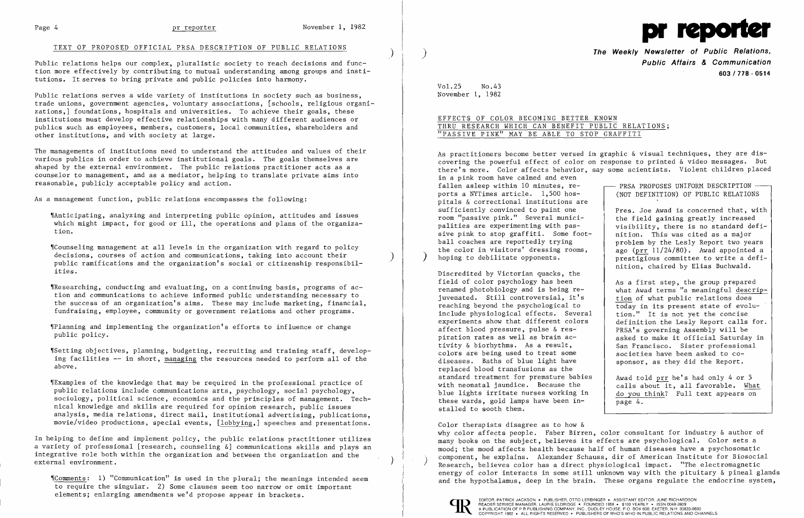## TEXT OF PROPOSED OFFICIAL PRSA DESCRIPTION OF PUBLIC RELATIONS



Public relations helps our complex, pluralistic society to reach decisions and function more effectively by contributing to mutual understanding among groups and institutions. It serves to bring private and public policies into harmony.

Public relations serves a wide variety of institutions in society such as business, trade unions, government agencies, voluntary associations, [schools, religious organizations,] foundations, hospitals and universities. To achieve their goals, these institutions must develop effective relationships with many different audiences or publics such as employees, members, customers, local communities, shareholders and other institutions, and with society at large.

"Counseling management at all levels in the organization with regard to policy<br>decisions, courses of action and communications, taking into account their public ramifications and the organization's social or citizenship responsibilities.

The managements of institutions need to understand the attitudes and values of their various publics in order to achieve institutional goals. The goals themselves are shaped by the external environment. The public relations practitioner acts as a counselor to management, and as a mediator, helping to translate private aims into reasonable, publicly acceptable policy and action.

As a management function, public relations encompasses the following:

'IAnticipating, analyzing and interpreting public opinion, attitudes and issues which might impact, for good or ill, the operations and plans of the organization.

In helping to define and implement policy, the public relations practitioner utilizes a variety of professional [research, counseling &] communications skills and plays an integrative role both within the organization and between the organization and the external environment. (and the originalisation and between the originalisation and the state of  $\bigg)$ 

'IResearching, conducting and evaluating, on a continuing basis, programs of action and communications to achieve informed public understanding necessary to the success of an organization's aims. These may include marketing, financial, fundraising, employee, community or government relations and other programs.

'IPlanning and implementing the organization's efforts to influence or change public policy.

Discredited by Victorian quacks, the field of color psychology has been<br>
renamed photobiology and is being re-<br>
what Awad terms "a meaningful descri juvenated. Still controversial, it's  $\begin{array}{c|c} t \text{ion} \\ \text{tion of what public relations does} \\ \text{today in its present state of evolution} \end{array}$ reaching beyond the psychological to  $\overline{\text{today}}$  in its present state of evolunclude physiological effects. Several  $\overline{\text{tion}}$ ." It is not yet the concise include physiological effects. Several  $\begin{array}{|l|l|}$  tion." It is not yet the concise experiments show that different colors definition the Lesly Report calls for. experiments show that different colors definition the Lesly Report calls<br>affect blood pressure, pulse & res-<br> $PRSA's$  governing Assembly will be affect blood pressure, pulse & res-<br>piration rates as well as brain activity & biorhythms. As a result,<br>colors are being used to treat some societies have been asked to cocolors are being used to treat some diseases. Baths of blue light have  $\vert$  sponsor, as they did the Report. replaced blood transfusions as the standard treatment for premature babies  $\begin{bmatrix} \text{d} \\ \text{d} \\ \text{e} \end{bmatrix}$  Awad told prr he's had only 4 or 5 with neonatal jaundice. Because the  $\begin{bmatrix} \text{d} \\ \text{e} \\ \text{f} \end{bmatrix}$  about it, all favorable. What with neonatal jaundice. Because the calls about it, all favorable. What blue lights irritate nurses working in  $\frac{1}{10}$  do you think? Full text appears on these wards, gold lamps have been installed to sooth them.

.Setting objectives, planning, budgeting, recruiting and training staff, developing facilities **--** in short, managing the resources needed to perform all of the above.

'IExamples of the knowledge that may be required in the professional practice of public relations include communications arts, psychology, social psychology, sociology, political science, economics and the principles of management. Technical knowledge and skills are required for opinion research, public issues analysis, media relations, direct mail, institutional advertising, publications, movie/video productions, special events, [lobbying,] speeches and presentations.

Color therapists disagree as to how & why color affects people. Faber Birren, color consultant for industry & author of many books on the subject, believes its effects are psychological. Color sets a mood; the mood affects health because half of human diseases have a psychosomatic component, he explains. Alexander Schauss, dir of American Institute for Biosocial<br>Research, believes color has a direct physiological impact. "The electromagnetic<br>energy of color interacts in some still unknown way with t "Comments: 1) "Communication" is used in the plural; the meanings intended seem<br>and the hypothalamus, deep in the brain. These organs regulate the endocrine system,



) **The Weekly Newsletter of Public Relations, Public Affairs & Communication 603/778 - 0514** 

what Awad terms "a meaningful descrip-<br>tion of what public relations does asked to make it official Saturday in<br>San Francisco. Sister professional

do you think? Full text appears on page 4.

Vol. 25 No.43 November **1,** 1982

> READER SERVICE MANAGER, LAURIE ELDRIDGE' FOUNDED 1958 • \$100 YEARLY • ISSN 0048-2609 A PUBLICATION OF P R PUBLISHING COMPANY, INC., DUDLEY HOUSE, P.O. BOX 600, EXETER, N.H. 03833-0600

## EFFECTS OF COLOR BECOMING BETTER KNOWN THRU RESEARCH WHICH CAN BENEFIT PUBLIC RELATIONS; "PASSIVE PINK" MAY BE ABLE TO STOP GRAFFITI

As practitioners become better versed in graphic & visual techniques, they are discovering the powerful effect of color on response to printed & video messages. But there's more. Color affects behavior, say some scientists. Violent children placed in a pink room have calmed and even fallen asleep within 10 minutes,  $re$   $\longrightarrow$  PRSA PROPOSES UNIFORM DESCRIPTION  $\longrightarrow$  ports a NYTimes article. 1,500 hosports a NYTimes article.  $1,500$  hospitals & correctional institutions are<br>sufficiently convinced to paint one Pres. Joe Awad is concerned that, with<br>the field gaining greatly increased room "passive pink." Several munici-<br>palities are experimenting with pasvisibility, there is no standard defi-<br>nition. This was cited as a major sive pink to stop graffiti. Some foot-<br>ball coaches are reportedly trying problem by the Lesly Report two years<br>ago (prr 11/24/80). Awad appointed a the color in visitors' dressing rooms, ago ( $\frac{11}{24/80}$ . Awad appointed a hoping to debilitate opponents. nition, chaired by Elias Buchwald.

to require the singular. 2) Some clauses seem too narrow or omit important elements; enlarging amendments we'd propose appear in brackets.